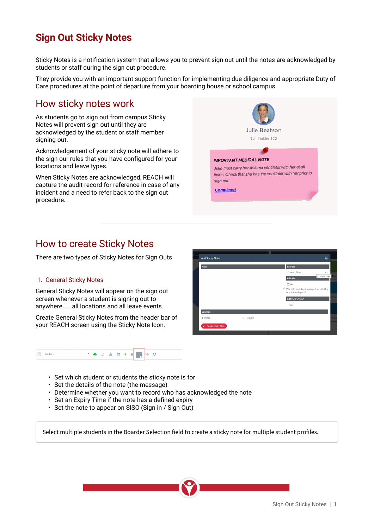# **Sign Out Sticky Notes**

Sticky Notes is a notification system that allows you to prevent sign out until the notes are acknowledged by students or staff during the sign out procedure.

They provide you with an important support function for implementing due diligence and appropriate Duty of Care procedures at the point of departure from your boarding house or school campus.

**Add Sticky Note** 

 $\Box$ SISO

### How sticky notes work

As students go to sign out from campus Sticky Notes will prevent sign out until they are acknowledged by the student or staff member signing out.

Acknowledgement of your sticky note will adhere to the sign our rules that you have configured for your locations and leave types.

When Sticky Notes are acknowledged, REACH will capture the audit record for reference in case of any incident and a need to refer back to the sign out procedure.



 $\neg$ <sub>V</sub>

Add Exi  $\Box$ x

 $\Box$  Sidebar

## How to create Sticky Notes

There are two types of Sticky Notes for Sign Outs

### .1. General Sticky Notes

General Sticky Notes will appear on the sign out screen whenever a student is signing out to anywhere .... all locations and all leave events.

Create General Sticky Notes from the header bar of your REACH screen using the Sticky Note Icon.





- Set the details of the note (the message)
- Determine whether you want to record who has acknowledged the note
- Set an Expiry Time if the note has a defined expiry
- Set the note to appear on SISO (Sign in / Sign Out)

Select multiple students in the Boarder Selection field to create a sticky note for multiple student profiles.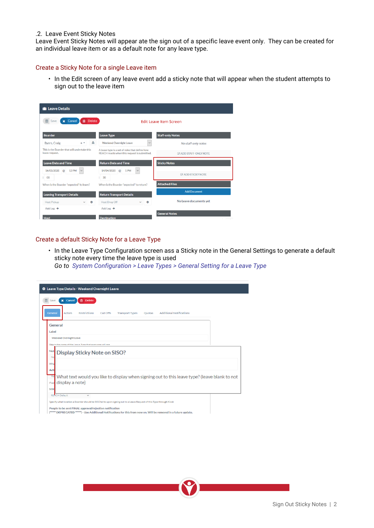#### .2. Leave Event Sticky Notes

Leave Event Sticky Notes will appear ate the sign out of a specific leave event only. They can be created for an individual leave item or as a default note for any leave type.

#### Create a Sticky Note for a single Leave item

• In the Edit screen of any leave event add a sticky note that will appear when the student attempts to sign out to the leave item

| <b>In Leave Details</b>                                        |                                                                                                |                               |  |  |
|----------------------------------------------------------------|------------------------------------------------------------------------------------------------|-------------------------------|--|--|
| <b>俞</b> Delete<br>Cancel<br>$\mathbf{M}$<br>Save              | <b>Edit Leave Item Screen</b>                                                                  |                               |  |  |
| <b>Boarder</b>                                                 | <b>Leave Type</b>                                                                              | <b>Staff-only Notes</b>       |  |  |
| ᅀ<br><b>Byers, Craig</b><br>$x -$                              | <b>Weekend Overnight Leave</b><br>$\checkmark$                                                 | No staff-only notes           |  |  |
| This is the Boarder that will undertake this<br>leave request. | A leave type is a set of rules that define how<br>REACH reacts when this request is submitted. | <b>EX ADD STAFF-ONLY NOTE</b> |  |  |
| <b>Leave Date and Time</b>                                     | <b>Return Date and Time</b>                                                                    | <b>Sticky Notes</b>           |  |  |
| <b>12 PM</b><br>16/03/2020<br>$\sim$<br>$\omega$<br>$^{00}$    | 14/04/2020<br>1PM<br>$\omega$<br>$\checkmark$<br>30                                            | <b>EX ADD STICKY NOTE</b>     |  |  |
| When is the Boarder "expected" to leave?                       | When is the Boarder "expected" to return?                                                      | <b>Attached Files</b>         |  |  |
| <b>Leaving Transport Details</b>                               | <b>Return Transport Details</b>                                                                | <b>Add Document</b>           |  |  |
| <b>Host Pickup</b><br>۰<br>$\checkmark$                        | <b>Host Drop Off</b><br>÷                                                                      | No Leave documents vet        |  |  |
| Add Leg $+$                                                    | Add Leg $+$                                                                                    |                               |  |  |
| <b>Host</b>                                                    | <b>Destination</b>                                                                             | <b>General Notes</b>          |  |  |

### Create a default Sticky Note for a Leave Type

• In the Leave Type Configuration screen ass a Sticky note in the General Settings to generate a default sticky note every time the leave type is used

*Go to System Configuration > Leave Types > General Setting for a Leave Type*

|                                         | <b><math>\clubsuit</math></b> Leave Type Details - Weekend Overnight Leave                                          |  |  |  |  |
|-----------------------------------------|---------------------------------------------------------------------------------------------------------------------|--|--|--|--|
| <b>x</b> Cancel<br>Save                 | <b>m</b> Delete                                                                                                     |  |  |  |  |
| General<br><b>Actors</b>                | <b>Restrictions</b><br><b>Additional Notifications</b><br>Cut Offs<br><b>Transport Types</b><br><b>Ouotas</b>       |  |  |  |  |
| General                                 |                                                                                                                     |  |  |  |  |
| Label                                   |                                                                                                                     |  |  |  |  |
| <b>Weekend Overnight Leave</b>          |                                                                                                                     |  |  |  |  |
|                                         | This is the name of the I gave Tyne that everyone will see                                                          |  |  |  |  |
| <b>Not</b><br>No                        | <b>Display Sticky Note on SISO?</b>                                                                                 |  |  |  |  |
| Whe<br>Acti                             |                                                                                                                     |  |  |  |  |
| Yes<br>display a note)<br><b>If set</b> | What text would you like to display when signing out to this leave type? (leave blank to not                        |  |  |  |  |
| <b>SISC</b>                             |                                                                                                                     |  |  |  |  |
| <b>REACH Default</b>                    | $\checkmark$                                                                                                        |  |  |  |  |
|                                         | Specify what location a Boarder should be SISO'ed to upon signing out to a Leave Request of this Type through Kiosk |  |  |  |  |
|                                         | People to be sent FINAL approval/rejection notification                                                             |  |  |  |  |
|                                         | [***** DEPRECATED *****] - Use Additional Notifications for this from now on. Will be removed in a future update.   |  |  |  |  |